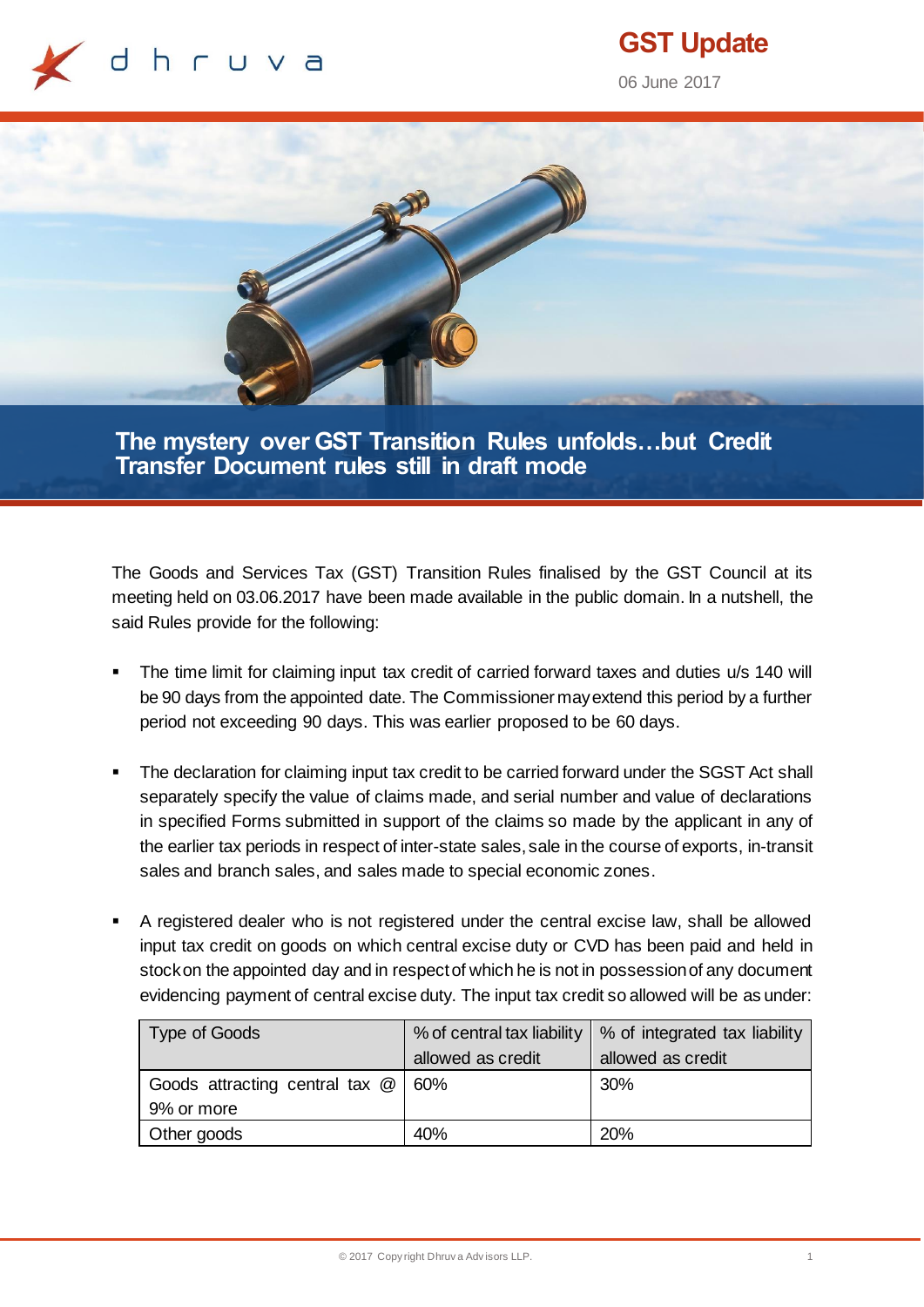

# **GST Update**

06 June 2017



**The mystery over GST Transition Rules unfolds…but Credit Transfer Document rules still in draft mode**

The Goods and Services Tax (GST) Transition Rules finalised by the GST Council at its meeting held on 03.06.2017 have been made available in the public domain. In a nutshell, the said Rules provide for the following:

- The time limit for claiming input tax credit of carried forward taxes and duties u/s 140 will be 90 days from the appointed date. The Commissioner may extend this period by a further period not exceeding 90 days. This was earlier proposed to be 60 days.
- The declaration for claiming input tax credit to be carried forward under the SGST Act shall separately specify the value of claims made, and serial number and value of declarations in specified Forms submitted in support of the claims so made by the applicant in any of the earlier tax periods in respect of inter-state sales, sale in the course of exports, in-transit sales and branch sales, and sales made to special economic zones.
- A registered dealer who is not registered under the central excise law, shall be allowed input tax credit on goods on which central excise duty or CVD has been paid and held in stockon the appointed day and in respect of which he is not in possession of any document evidencing payment of central excise duty. The input tax credit so allowed will be as under:

| Type of Goods                         | % of central tax liability | % of integrated tax liability |
|---------------------------------------|----------------------------|-------------------------------|
|                                       | allowed as credit          | allowed as credit             |
| Goods attracting central tax $@ 60\%$ |                            | 30%                           |
| 9% or more                            |                            |                               |
| Other goods                           | 40%                        | 20%                           |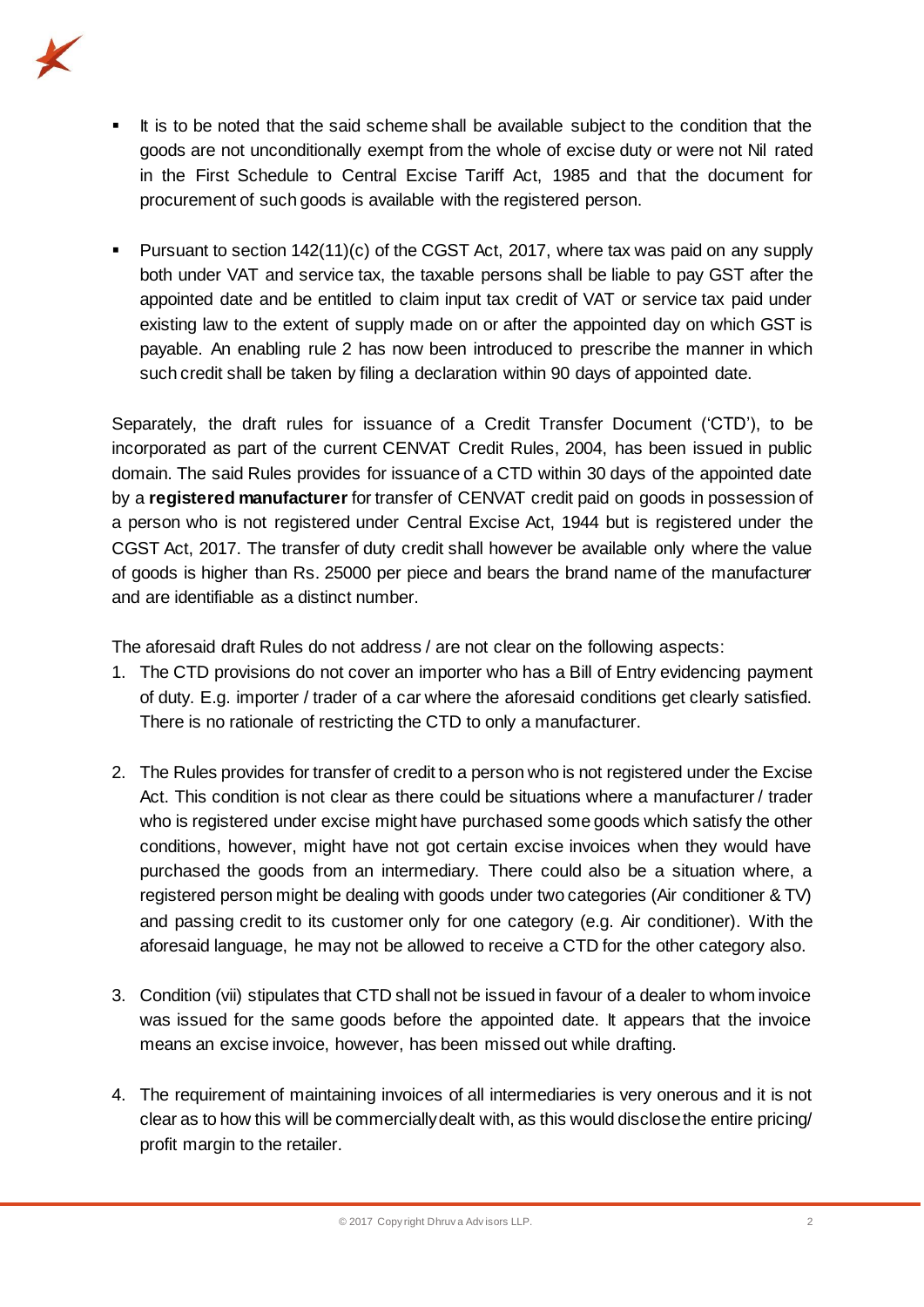

- It is to be noted that the said scheme shall be available subject to the condition that the goods are not unconditionally exempt from the whole of excise duty or were not Nil rated in the First Schedule to Central Excise Tariff Act, 1985 and that the document for procurement of such goods is available with the registered person.
- Pursuant to section 142(11)(c) of the CGST Act, 2017, where tax was paid on any supply both under VAT and service tax, the taxable persons shall be liable to pay GST after the appointed date and be entitled to claim input tax credit of VAT or service tax paid under existing law to the extent of supply made on or after the appointed day on which GST is payable. An enabling rule 2 has now been introduced to prescribe the manner in which such credit shall be taken by filing a declaration within 90 days of appointed date.

Separately, the draft rules for issuance of a Credit Transfer Document ('CTD'), to be incorporated as part of the current CENVAT Credit Rules, 2004, has been issued in public domain. The said Rules provides for issuance of a CTD within 30 days of the appointed date by a **registered manufacturer** for transfer of CENVAT credit paid on goods in possession of a person who is not registered under Central Excise Act, 1944 but is registered under the CGST Act, 2017. The transfer of duty credit shall however be available only where the value of goods is higher than Rs. 25000 per piece and bears the brand name of the manufacturer and are identifiable as a distinct number.

The aforesaid draft Rules do not address / are not clear on the following aspects:

- 1. The CTD provisions do not cover an importer who has a Bill of Entry evidencing payment of duty. E.g. importer / trader of a car where the aforesaid conditions get clearly satisfied. There is no rationale of restricting the CTD to only a manufacturer.
- 2. The Rules provides for transfer of credit to a person who is not registered under the Excise Act. This condition is not clear as there could be situations where a manufacturer / trader who is registered under excise might have purchased some goods which satisfy the other conditions, however, might have not got certain excise invoices when they would have purchased the goods from an intermediary. There could also be a situation where, a registered person might be dealing with goods under two categories (Air conditioner & TV) and passing credit to its customer only for one category (e.g. Air conditioner). With the aforesaid language, he may not be allowed to receive a CTD for the other category also.
- 3. Condition (vii) stipulates that CTD shall not be issued in favour of a dealer to whom invoice was issued for the same goods before the appointed date. It appears that the invoice means an excise invoice, however, has been missed out while drafting.
- 4. The requirement of maintaining invoices of all intermediaries is very onerous and it is not clear as to how this will be commercially dealt with, as this would disclose the entire pricing/ profit margin to the retailer.